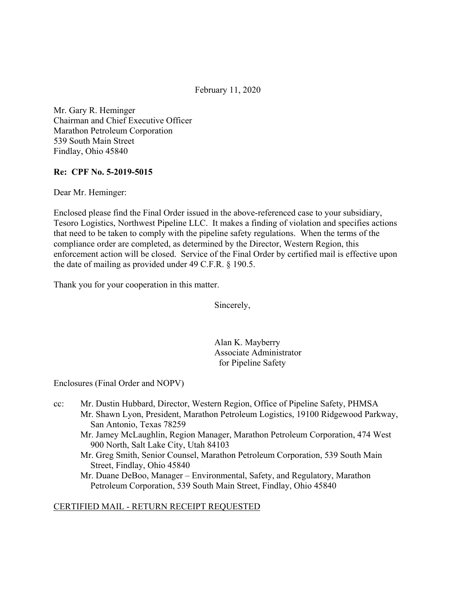February 11, 2020

Mr. Gary R. Heminger Chairman and Chief Executive Officer Marathon Petroleum Corporation 539 South Main Street Findlay, Ohio 45840

### **Re: CPF No. 5-2019-5015**

Dear Mr. Heminger:

Enclosed please find the Final Order issued in the above-referenced case to your subsidiary, Tesoro Logistics, Northwest Pipeline LLC. It makes a finding of violation and specifies actions that need to be taken to comply with the pipeline safety regulations. When the terms of the compliance order are completed, as determined by the Director, Western Region, this enforcement action will be closed. Service of the Final Order by certified mail is effective upon the date of mailing as provided under 49 C.F.R. § 190.5.

Thank you for your cooperation in this matter.

Sincerely,

Alan K. Mayberry Associate Administrator for Pipeline Safety

Enclosures (Final Order and NOPV)

- cc: Mr. Dustin Hubbard, Director, Western Region, Office of Pipeline Safety, PHMSA Mr. Shawn Lyon, President, Marathon Petroleum Logistics, 19100 Ridgewood Parkway, San Antonio, Texas 78259
	- Mr. Jamey McLaughlin, Region Manager, Marathon Petroleum Corporation, 474 West 900 North, Salt Lake City, Utah 84103
	- Mr. Greg Smith, Senior Counsel, Marathon Petroleum Corporation, 539 South Main Street, Findlay, Ohio 45840

Mr. Duane DeBoo, Manager – Environmental, Safety, and Regulatory, Marathon Petroleum Corporation, 539 South Main Street, Findlay, Ohio 45840

### CERTIFIED MAIL - RETURN RECEIPT REQUESTED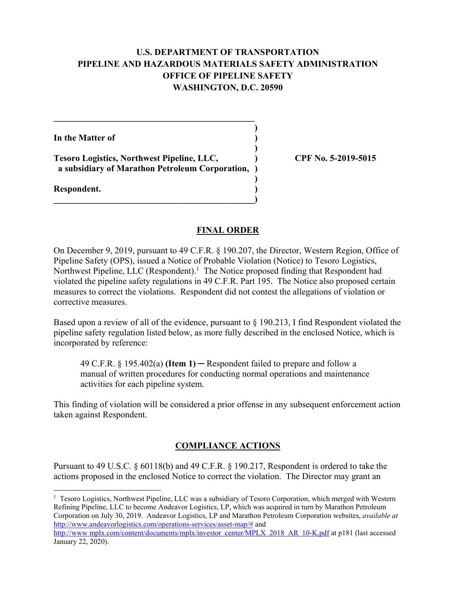## **U.S. DEPARTMENT OF TRANSPORTATION PIPELINE AND HAZARDOUS MATERIALS SAFETY ADMINISTRATION OFFICE OF PIPELINE SAFETY WASHINGTON, D.C. 20590**

**)** 

**)** 

**)** 

**In the Matter of )** 

**Tesoro Logistics, Northwest Pipeline, LLC, ) CPF No. 5-2019-5015 a subsidiary of Marathon Petroleum Corporation, )** 

**\_\_\_\_\_\_\_\_\_\_\_\_\_\_\_\_\_\_\_\_\_\_\_\_\_\_\_\_\_\_\_\_\_\_\_\_\_\_\_\_\_\_\_\_\_)** 

 $\mathcal{L} = \{ \mathcal{L} \}$ 

**Respondent. )** 

1

### **FINAL ORDER**

On December 9, 2019, pursuant to 49 C.F.R. § 190.207, the Director, Western Region, Office of Pipeline Safety (OPS), issued a Notice of Probable Violation (Notice) to Tesoro Logistics, Northwest Pipeline, LLC (Respondent).<sup>1</sup> The Notice proposed finding that Respondent had violated the pipeline safety regulations in 49 C.F.R. Part 195. The Notice also proposed certain measures to correct the violations. Respondent did not contest the allegations of violation or corrective measures.

Based upon a review of all of the evidence, pursuant to § 190.213, I find Respondent violated the pipeline safety regulation listed below, as more fully described in the enclosed Notice, which is incorporated by reference:

49 C.F.R. § 195.402(a) **(Item 1)** ─ Respondent failed to prepare and follow a manual of written procedures for conducting normal operations and maintenance activities for each pipeline system.

This finding of violation will be considered a prior offense in any subsequent enforcement action taken against Respondent.

# **COMPLIANCE ACTIONS**

Pursuant to 49 U.S.C. § 60118(b) and 49 C.F.R. § 190.217, Respondent is ordered to take the actions proposed in the enclosed Notice to correct the violation. The Director may grant an

 Refining Pipeline, LLC to become Andeavor Logistics, LP, which was acquired in turn by Marathon Petroleum <sup>1</sup> Tesoro Logistics, Northwest Pipeline, LLC was a subsidiary of Tesoro Corporation, which merged with Western Corporation on July 30, 2019. Andeavor Logistics, LP and Marathon Petroleum Corporation websites, *available at*  <http://www.andeavorlogistics.com/operations-services/asset-map>/# and

<http://www>[mplx.com/content/documents/mplx/investor](https://mplx.com/content/documents/mplx/investor) center/MPLX 2018 AR 10-K.pdf at p181 (last accessed January 22, 2020).